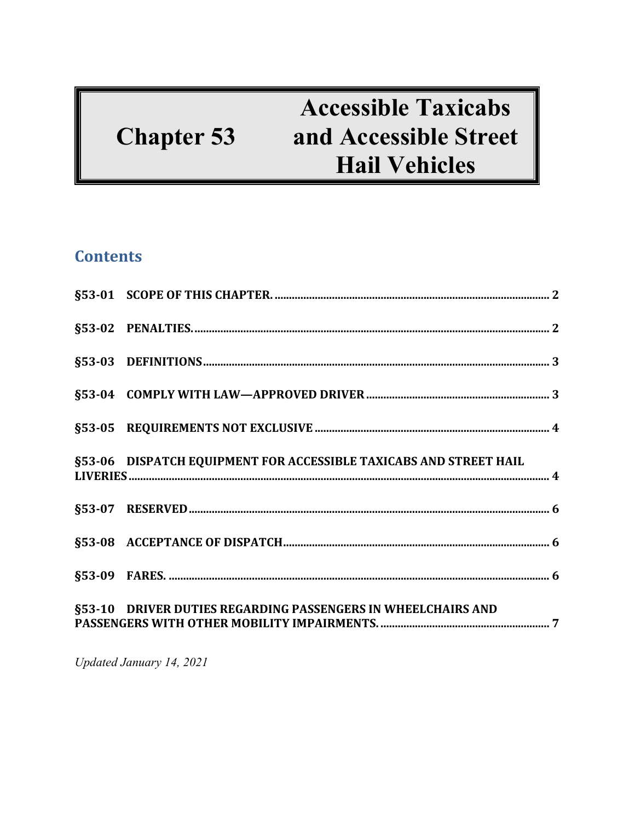# **Chapter 53**

## **Accessible Taxicabs** and Accessible Street **Hail Vehicles**

### **Contents**

| §53-06 DISPATCH EQUIPMENT FOR ACCESSIBLE TAXICABS AND STREET HAIL |  |
|-------------------------------------------------------------------|--|
|                                                                   |  |
|                                                                   |  |
|                                                                   |  |
|                                                                   |  |

Updated January 14, 2021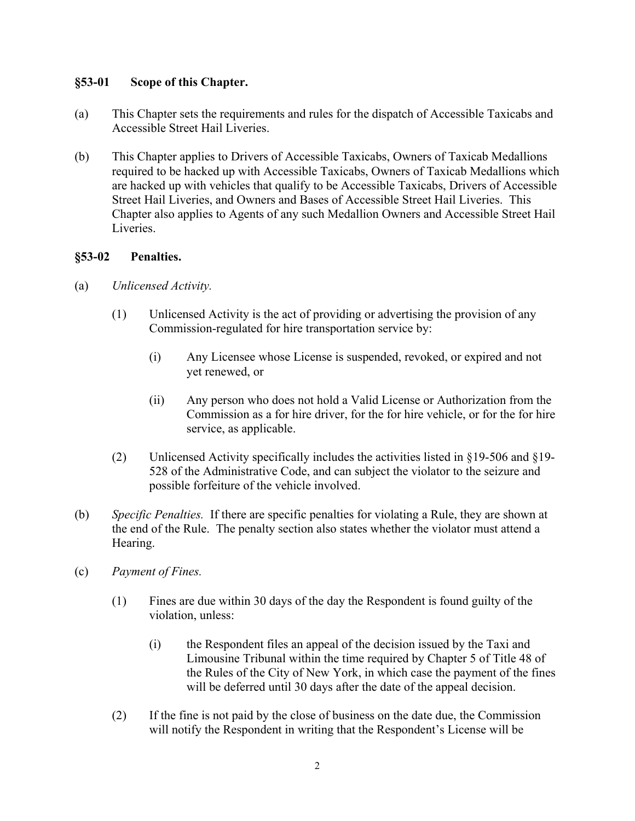#### **§53-01 Scope of this Chapter.**

- (a) This Chapter sets the requirements and rules for the dispatch of Accessible Taxicabs and Accessible Street Hail Liveries.
- (b) This Chapter applies to Drivers of Accessible Taxicabs, Owners of Taxicab Medallions required to be hacked up with Accessible Taxicabs, Owners of Taxicab Medallions which are hacked up with vehicles that qualify to be Accessible Taxicabs, Drivers of Accessible Street Hail Liveries, and Owners and Bases of Accessible Street Hail Liveries. This Chapter also applies to Agents of any such Medallion Owners and Accessible Street Hail Liveries.

#### **§53-02 Penalties.**

- (a) *Unlicensed Activity.*
	- (1) Unlicensed Activity is the act of providing or advertising the provision of any Commission-regulated for hire transportation service by:
		- (i) Any Licensee whose License is suspended, revoked, or expired and not yet renewed, or
		- (ii) Any person who does not hold a Valid License or Authorization from the Commission as a for hire driver, for the for hire vehicle, or for the for hire service, as applicable.
	- (2) Unlicensed Activity specifically includes the activities listed in §19-506 and §19- 528 of the Administrative Code, and can subject the violator to the seizure and possible forfeiture of the vehicle involved.
- (b) *Specific Penalties.* If there are specific penalties for violating a Rule, they are shown at the end of the Rule. The penalty section also states whether the violator must attend a Hearing.
- (c) *Payment of Fines.* 
	- (1) Fines are due within 30 days of the day the Respondent is found guilty of the violation, unless:
		- (i) the Respondent files an appeal of the decision issued by the Taxi and Limousine Tribunal within the time required by Chapter 5 of Title 48 of the Rules of the City of New York, in which case the payment of the fines will be deferred until 30 days after the date of the appeal decision.
	- (2) If the fine is not paid by the close of business on the date due, the Commission will notify the Respondent in writing that the Respondent's License will be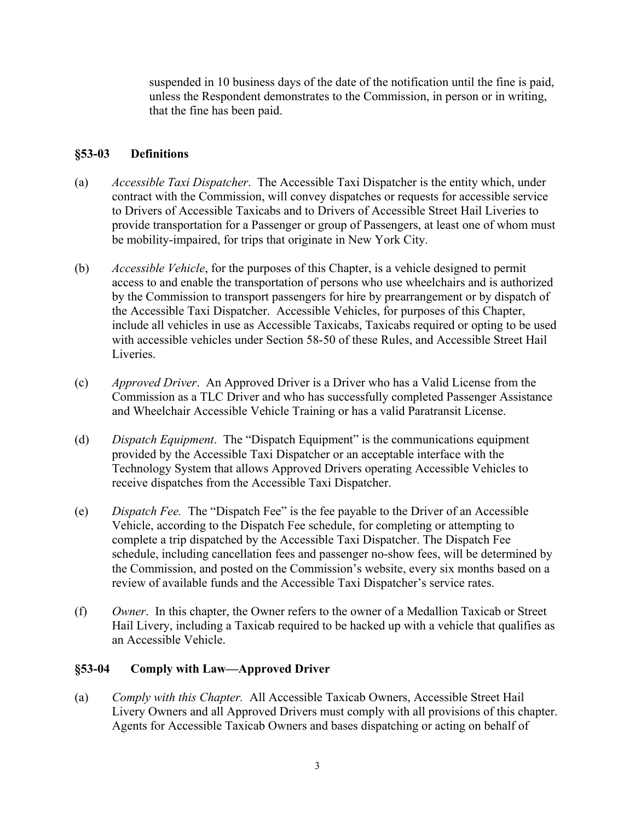suspended in 10 business days of the date of the notification until the fine is paid, unless the Respondent demonstrates to the Commission, in person or in writing, that the fine has been paid.

#### **§53-03 Definitions**

- (a) *Accessible Taxi Dispatcher*. The Accessible Taxi Dispatcher is the entity which, under contract with the Commission, will convey dispatches or requests for accessible service to Drivers of Accessible Taxicabs and to Drivers of Accessible Street Hail Liveries to provide transportation for a Passenger or group of Passengers, at least one of whom must be mobility-impaired, for trips that originate in New York City.
- (b) *Accessible Vehicle*, for the purposes of this Chapter, is a vehicle designed to permit access to and enable the transportation of persons who use wheelchairs and is authorized by the Commission to transport passengers for hire by prearrangement or by dispatch of the Accessible Taxi Dispatcher. Accessible Vehicles, for purposes of this Chapter, include all vehicles in use as Accessible Taxicabs, Taxicabs required or opting to be used with accessible vehicles under Section 58-50 of these Rules, and Accessible Street Hail Liveries.
- (c) *Approved Driver*. An Approved Driver is a Driver who has a Valid License from the Commission as a TLC Driver and who has successfully completed Passenger Assistance and Wheelchair Accessible Vehicle Training or has a valid Paratransit License.
- (d) *Dispatch Equipment*. The "Dispatch Equipment" is the communications equipment provided by the Accessible Taxi Dispatcher or an acceptable interface with the Technology System that allows Approved Drivers operating Accessible Vehicles to receive dispatches from the Accessible Taxi Dispatcher.
- (e) *Dispatch Fee.* The "Dispatch Fee" is the fee payable to the Driver of an Accessible Vehicle, according to the Dispatch Fee schedule, for completing or attempting to complete a trip dispatched by the Accessible Taxi Dispatcher. The Dispatch Fee schedule, including cancellation fees and passenger no-show fees, will be determined by the Commission, and posted on the Commission's website, every six months based on a review of available funds and the Accessible Taxi Dispatcher's service rates.
- (f) *Owner*. In this chapter, the Owner refers to the owner of a Medallion Taxicab or Street Hail Livery, including a Taxicab required to be hacked up with a vehicle that qualifies as an Accessible Vehicle.

#### **§53-04 Comply with Law—Approved Driver**

(a) *Comply with this Chapter.* All Accessible Taxicab Owners, Accessible Street Hail Livery Owners and all Approved Drivers must comply with all provisions of this chapter. Agents for Accessible Taxicab Owners and bases dispatching or acting on behalf of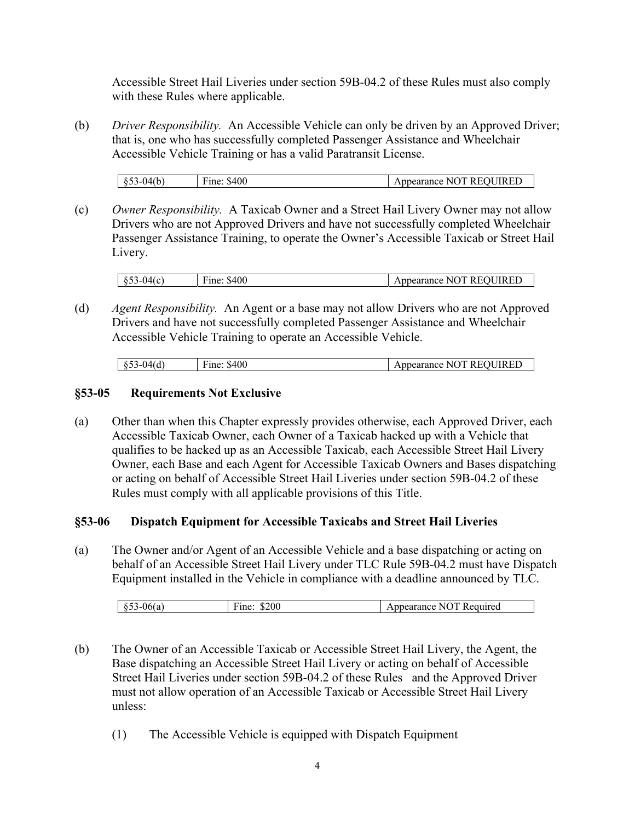Accessible Street Hail Liveries under section 59B-04.2 of these Rules must also comply with these Rules where applicable.

(b) *Driver Responsibility.* An Accessible Vehicle can only be driven by an Approved Driver; that is, one who has successfully completed Passenger Assistance and Wheelchair Accessible Vehicle Training or has a valid Paratransit License.

|           | \$400 | <b>IIRED</b><br>`™<br>าเ<br>R E C<br>NG |
|-----------|-------|-----------------------------------------|
| 04(b<br>ິ | Fine: | Appearance<br>к<br>. .<br>--            |

(c) *Owner Responsibility.* A Taxicab Owner and a Street Hail Livery Owner may not allow Drivers who are not Approved Drivers and have not successfully completed Wheelchair Passenger Assistance Training, to operate the Owner's Accessible Taxicab or Street Hail Livery.

| $853 - 04(c)$ | Fine: \$400 | Appearance NOT REOUIRED |
|---------------|-------------|-------------------------|
|               |             |                         |

(d) *Agent Responsibility.* An Agent or a base may not allow Drivers who are not Approved Drivers and have not successfully completed Passenger Assistance and Wheelchair Accessible Vehicle Training to operate an Accessible Vehicle.

| $\mathcal{M}$<br>$\cdots$<br>ະ ~ ~ | \$400<br>Fine: | <b>IIRED</b><br>D E O<br>м<br>NU.<br>pearance<br>w |  |
|------------------------------------|----------------|----------------------------------------------------|--|

#### **§53-05 Requirements Not Exclusive**

(a) Other than when this Chapter expressly provides otherwise, each Approved Driver, each Accessible Taxicab Owner, each Owner of a Taxicab hacked up with a Vehicle that qualifies to be hacked up as an Accessible Taxicab, each Accessible Street Hail Livery Owner, each Base and each Agent for Accessible Taxicab Owners and Bases dispatching or acting on behalf of Accessible Street Hail Liveries under section 59B-04.2 of these Rules must comply with all applicable provisions of this Title.

#### **§53-06 Dispatch Equipment for Accessible Taxicabs and Street Hail Liveries**

(a) The Owner and/or Agent of an Accessible Vehicle and a base dispatching or acting on behalf of an Accessible Street Hail Livery under TLC Rule 59B-04.2 must have Dispatch Equipment installed in the Vehicle in compliance with a deadline announced by TLC.

| \$200<br>. .<br>rine:<br>uired<br>N<br>загансе<br>,,,,<br>.<br>∼ |
|------------------------------------------------------------------|
|------------------------------------------------------------------|

- (b) The Owner of an Accessible Taxicab or Accessible Street Hail Livery, the Agent, the Base dispatching an Accessible Street Hail Livery or acting on behalf of Accessible Street Hail Liveries under section 59B-04.2 of these Rules and the Approved Driver must not allow operation of an Accessible Taxicab or Accessible Street Hail Livery unless:
	- (1) The Accessible Vehicle is equipped with Dispatch Equipment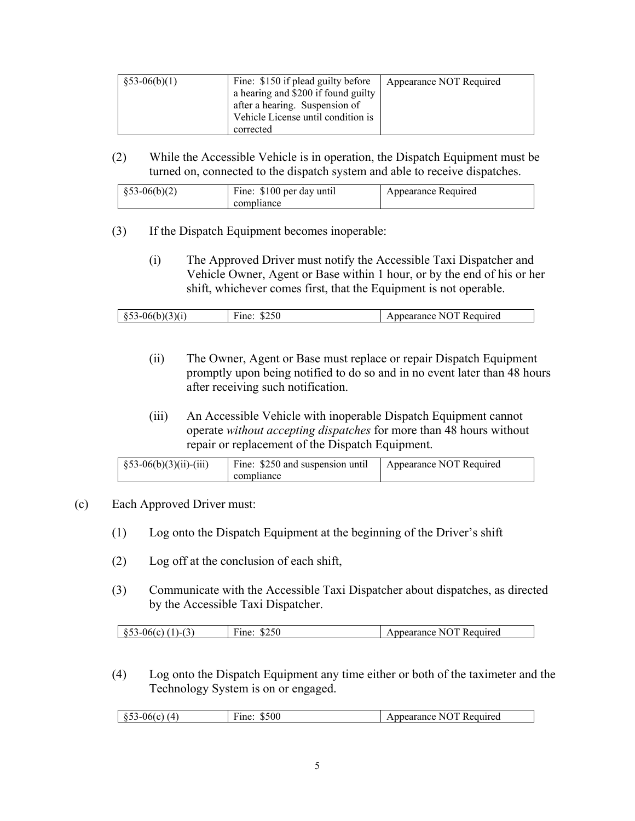| $$53-06(b)(1)$ | Fine: \$150 if plead guilty before  | Appearance NOT Required |
|----------------|-------------------------------------|-------------------------|
|                | a hearing and \$200 if found guilty |                         |
|                | after a hearing. Suspension of      |                         |
|                | Vehicle License until condition is  |                         |
|                | corrected                           |                         |

(2) While the Accessible Vehicle is in operation, the Dispatch Equipment must be turned on, connected to the dispatch system and able to receive dispatches.

| $$53-06(b)(2)$ | Fine: \$100 per day until<br>compliance | Appearance Required |
|----------------|-----------------------------------------|---------------------|
|----------------|-----------------------------------------|---------------------|

- (3) If the Dispatch Equipment becomes inoperable:
	- (i) The Approved Driver must notify the Accessible Taxi Dispatcher and Vehicle Owner, Agent or Base within 1 hour, or by the end of his or her shift, whichever comes first, that the Equipment is not operable.

| -- |
|----|
|----|

- (ii) The Owner, Agent or Base must replace or repair Dispatch Equipment promptly upon being notified to do so and in no event later than 48 hours after receiving such notification.
- (iii) An Accessible Vehicle with inoperable Dispatch Equipment cannot operate *without accepting dispatches* for more than 48 hours without repair or replacement of the Dispatch Equipment.

| $\frac{1}{2}$ §53-06(b)(3)(ii)-(iii) | Fine: \$250 and suspension until | Appearance NOT Required |
|--------------------------------------|----------------------------------|-------------------------|
|                                      | compliance                       |                         |

#### (c) Each Approved Driver must:

- (1) Log onto the Dispatch Equipment at the beginning of the Driver's shift
- (2) Log off at the conclusion of each shift,
- (3) Communicate with the Accessible Taxi Dispatcher about dispatches, as directed by the Accessible Taxi Dispatcher.

(4) Log onto the Dispatch Equipment any time either or both of the taximeter and the Technology System is on or engaged.

| $\sqrt{ }$<br>. IF<br><br>. . | \$500<br>$\overline{\phantom{0}}$<br>'ıne | . .<br><sub>1</sub> red<br>зин<br>$\mathbf{v}$<br>инсе<br>к.<br>кан |
|-------------------------------|-------------------------------------------|---------------------------------------------------------------------|
|                               |                                           |                                                                     |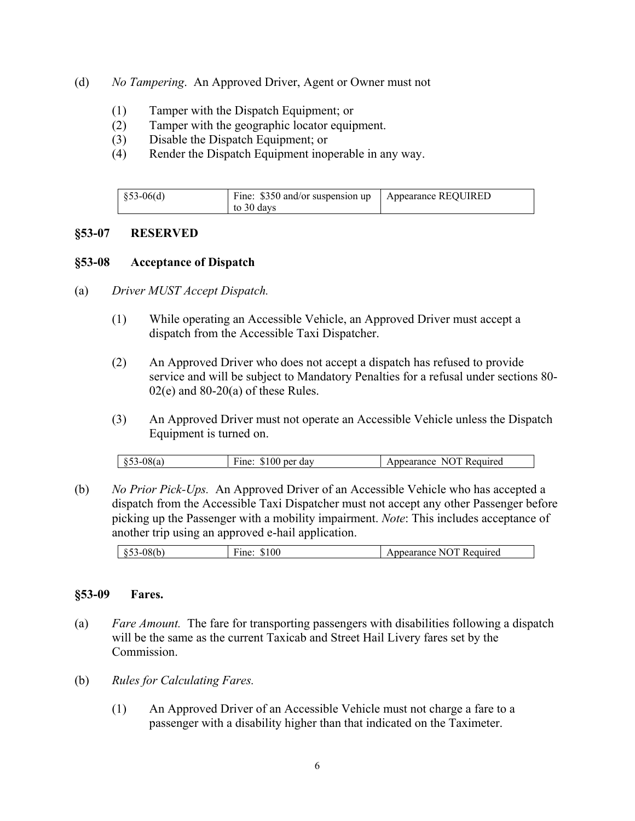- (d) *No Tampering*. An Approved Driver, Agent or Owner must not
	- (1) Tamper with the Dispatch Equipment; or
	- (2) Tamper with the geographic locator equipment.
	- (3) Disable the Dispatch Equipment; or
	- (4) Render the Dispatch Equipment inoperable in any way.

| $\frac{1}{2}$ \$53-06(d) | Fine: \$350 and/or suspension up   Appearance REQUIRED<br>to 30 days |  |
|--------------------------|----------------------------------------------------------------------|--|
|--------------------------|----------------------------------------------------------------------|--|

#### **§53-07 RESERVED**

#### **§53-08 Acceptance of Dispatch**

- (a) *Driver MUST Accept Dispatch.* 
	- (1) While operating an Accessible Vehicle, an Approved Driver must accept a dispatch from the Accessible Taxi Dispatcher.
	- (2) An Approved Driver who does not accept a dispatch has refused to provide service and will be subject to Mandatory Penalties for a refusal under sections 80-  $02(e)$  and  $80-20(a)$  of these Rules.
	- (3) An Approved Driver must not operate an Accessible Vehicle unless the Dispatch Equipment is turned on.

| $\overline{\phantom{a}}$<br>707<br>$\Omega$<br><br>dav<br>$\sim$ $\sim$ $\sim$ $\sim$ $\sim$<br>'equired<br>∗me<br>ner<br>NO<br>к.<br>Appearance<br>w<br>.D<br>ະ ~ ~ |
|----------------------------------------------------------------------------------------------------------------------------------------------------------------------|
|----------------------------------------------------------------------------------------------------------------------------------------------------------------------|

(b) *No Prior Pick-Ups.* An Approved Driver of an Accessible Vehicle who has accepted a dispatch from the Accessible Taxi Dispatcher must not accept any other Passenger before picking up the Passenger with a mobility impairment. *Note*: This includes acceptance of another trip using an approved e-hail application.

| $\cdot$<br>۰.<br>$\cdot$<br>--- | $\sim$ $\sim$<br>$\sim$<br>UU<br>$\mathbf{H}$ | $\cdots$<br>urea<br>w<br>. . |
|---------------------------------|-----------------------------------------------|------------------------------|
|                                 |                                               |                              |

#### **§53-09 Fares.**

- (a) *Fare Amount.* The fare for transporting passengers with disabilities following a dispatch will be the same as the current Taxicab and Street Hail Livery fares set by the Commission.
- (b) *Rules for Calculating Fares.*
	- (1) An Approved Driver of an Accessible Vehicle must not charge a fare to a passenger with a disability higher than that indicated on the Taximeter.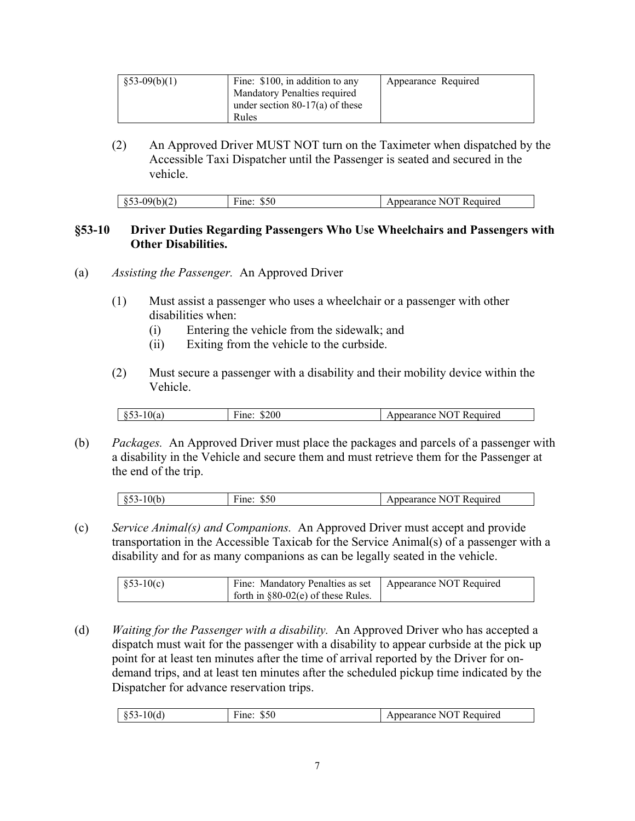| $\S 53-09(b)(1)$ | Fine: \$100, in addition to any | Appearance Required |
|------------------|---------------------------------|---------------------|
|                  | Mandatory Penalties required    |                     |
|                  | under section 80-17(a) of these |                     |
|                  | Rules                           |                     |

(2) An Approved Driver MUST NOT turn on the Taximeter when dispatched by the Accessible Taxi Dispatcher until the Passenger is seated and secured in the vehicle.

| 09(b)(2<br>$\mathcal{Q} \cup \mathcal{Q}$ | ∙me:<br>കാധ | . NOT<br>nnearance <b>.</b><br>Required |
|-------------------------------------------|-------------|-----------------------------------------|
|                                           |             |                                         |

#### **§53-10 Driver Duties Regarding Passengers Who Use Wheelchairs and Passengers with Other Disabilities.**

- (a) *Assisting the Passenger.* An Approved Driver
	- (1) Must assist a passenger who uses a wheelchair or a passenger with other disabilities when:
		- (i) Entering the vehicle from the sidewalk; and
		- (ii) Exiting from the vehicle to the curbside.
	- (2) Must secure a passenger with a disability and their mobility device within the Vehicle.

| \$200<br>0(a)<br>r ine<br>vi a<br>. .<br>ັນມີ<br>- | гэ<br>N()<br>Required<br>nearance |
|----------------------------------------------------|-----------------------------------|
|----------------------------------------------------|-----------------------------------|

(b) *Packages.* An Approved Driver must place the packages and parcels of a passenger with a disability in the Vehicle and secure them and must retrieve them for the Passenger at the end of the trip.

| м<br>110<br>uuireg.<br><br>$\cdot$<br>ຸ່<br><br>$\sim$ |  |  |
|--------------------------------------------------------|--|--|
|                                                        |  |  |

(c) *Service Animal(s) and Companions.* An Approved Driver must accept and provide transportation in the Accessible Taxicab for the Service Animal(s) of a passenger with a disability and for as many companions as can be legally seated in the vehicle.

| $$53-10(c)$ | Fine: Mandatory Penalties as set   Appearance NOT Required |  |
|-------------|------------------------------------------------------------|--|
|             | forth in $\S 80-02(e)$ of these Rules.                     |  |

(d) *Waiting for the Passenger with a disability.* An Approved Driver who has accepted a dispatch must wait for the passenger with a disability to appear curbside at the pick up point for at least ten minutes after the time of arrival reported by the Driver for ondemand trips, and at least ten minutes after the scheduled pickup time indicated by the Dispatcher for advance reservation trips.

| .<br>w<br>∼<br>.<br>. | $-$<br><sup>'</sup> ine<br>JJU | N<br>∽∈uuireu<br>шсе |
|-----------------------|--------------------------------|----------------------|
|-----------------------|--------------------------------|----------------------|